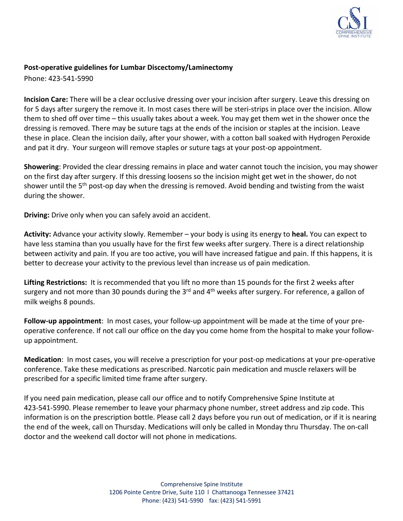

## **Post-operative guidelines for Lumbar Discectomy/Laminectomy**

Phone: 423-541-5990

**Incision Care:** There will be a clear occlusive dressing over your incision after surgery. Leave this dressing on for 5 days after surgery the remove it. In most cases there will be steri-strips in place over the incision. Allow them to shed off over time – this usually takes about a week. You may get them wet in the shower once the dressing is removed. There may be suture tags at the ends of the incision or staples at the incision. Leave these in place. Clean the incision daily, after your shower, with a cotton ball soaked with Hydrogen Peroxide and pat it dry. Your surgeon will remove staples or suture tags at your post-op appointment.

**Showering**: Provided the clear dressing remains in place and water cannot touch the incision, you may shower on the first day after surgery. If this dressing loosens so the incision might get wet in the shower, do not shower until the 5<sup>th</sup> post-op day when the dressing is removed. Avoid bending and twisting from the waist during the shower.

**Driving:** Drive only when you can safely avoid an accident.

**Activity:** Advance your activity slowly. Remember – your body is using its energy to **heal.** You can expect to have less stamina than you usually have for the first few weeks after surgery. There is a direct relationship between activity and pain. If you are too active, you will have increased fatigue and pain. If this happens, it is better to decrease your activity to the previous level than increase us of pain medication.

**Lifting Restrictions:** It is recommended that you lift no more than 15 pounds for the first 2 weeks after surgery and not more than 30 pounds during the 3<sup>rd</sup> and 4<sup>th</sup> weeks after surgery. For reference, a gallon of milk weighs 8 pounds.

**Follow-up appointment**: In most cases, your follow-up appointment will be made at the time of your preoperative conference. If not call our office on the day you come home from the hospital to make your followup appointment.

**Medication**: In most cases, you will receive a prescription for your post-op medications at your pre-operative conference. Take these medications as prescribed. Narcotic pain medication and muscle relaxers will be prescribed for a specific limited time frame after surgery.

If you need pain medication, please call our office and to notify Comprehensive Spine Institute at 423-541-5990. Please remember to leave your pharmacy phone number, street address and zip code. This information is on the prescription bottle. Please call 2 days before you run out of medication, or if it is nearing the end of the week, call on Thursday. Medications will only be called in Monday thru Thursday. The on-call doctor and the weekend call doctor will not phone in medications.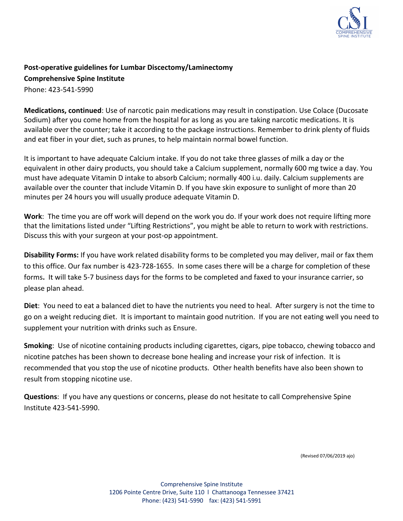

## **Post-operative guidelines for Lumbar Discectomy/Laminectomy Comprehensive Spine Institute**  Phone: 423-541-5990

**Medications, continued**: Use of narcotic pain medications may result in constipation. Use Colace (Ducosate Sodium) after you come home from the hospital for as long as you are taking narcotic medications. It is available over the counter; take it according to the package instructions. Remember to drink plenty of fluids and eat fiber in your diet, such as prunes, to help maintain normal bowel function.

It is important to have adequate Calcium intake. If you do not take three glasses of milk a day or the equivalent in other dairy products, you should take a Calcium supplement, normally 600 mg twice a day. You must have adequate Vitamin D intake to absorb Calcium; normally 400 i.u. daily. Calcium supplements are available over the counter that include Vitamin D. If you have skin exposure to sunlight of more than 20 minutes per 24 hours you will usually produce adequate Vitamin D.

**Work**: The time you are off work will depend on the work you do. If your work does not require lifting more that the limitations listed under "Lifting Restrictions", you might be able to return to work with restrictions. Discuss this with your surgeon at your post-op appointment.

**Disability Forms:** If you have work related disability forms to be completed you may deliver, mail or fax them to this office. Our fax number is 423-728-1655. In some cases there will be a charge for completion of these forms**.** It will take 5-7 business days for the forms to be completed and faxed to your insurance carrier, so please plan ahead.

**Diet**: You need to eat a balanced diet to have the nutrients you need to heal. After surgery is not the time to go on a weight reducing diet. It is important to maintain good nutrition. If you are not eating well you need to supplement your nutrition with drinks such as Ensure.

**Smoking**: Use of nicotine containing products including cigarettes, cigars, pipe tobacco, chewing tobacco and nicotine patches has been shown to decrease bone healing and increase your risk of infection. It is recommended that you stop the use of nicotine products. Other health benefits have also been shown to result from stopping nicotine use.

**Questions**: If you have any questions or concerns, please do not hesitate to call Comprehensive Spine Institute 423-541-5990.

(Revised 07/06/2019 ajo)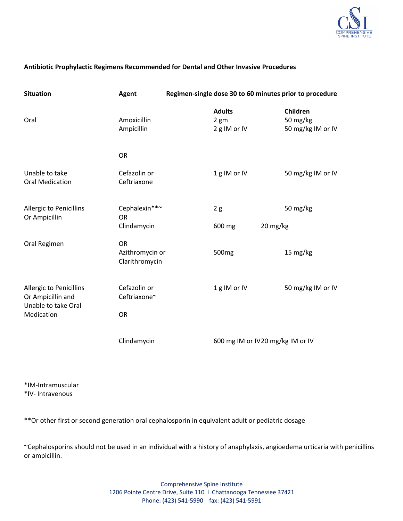

## **Antibiotic Prophylactic Regimens Recommended for Dental and Other Invasive Procedures**

| <b>Situation</b>                                                           | <b>Agent</b>                                   | Regimen-single dose 30 to 60 minutes prior to procedure |                                       |          |                                           |
|----------------------------------------------------------------------------|------------------------------------------------|---------------------------------------------------------|---------------------------------------|----------|-------------------------------------------|
| Oral                                                                       | Amoxicillin<br>Ampicillin                      |                                                         | <b>Adults</b><br>2 gm<br>2 g IM or IV |          | Children<br>50 mg/kg<br>50 mg/kg IM or IV |
|                                                                            | <b>OR</b>                                      |                                                         |                                       |          |                                           |
| Unable to take<br><b>Oral Medication</b>                                   | Cefazolin or<br>Ceftriaxone                    |                                                         | 1g IM or IV                           |          | 50 mg/kg IM or IV                         |
| <b>Allergic to Penicillins</b><br>Or Ampicillin                            | Cephalexin**~<br><b>OR</b>                     |                                                         | 2g                                    |          | 50 mg/kg                                  |
|                                                                            | Clindamycin                                    |                                                         | 600 mg                                | 20 mg/kg |                                           |
| Oral Regimen                                                               | <b>OR</b><br>Azithromycin or<br>Clarithromycin |                                                         | 500 <sub>mg</sub>                     |          | 15 mg/kg                                  |
| <b>Allergic to Penicillins</b><br>Or Ampicillin and<br>Unable to take Oral | Cefazolin or<br>Ceftriaxone~                   |                                                         | 1g IM or IV                           |          | 50 mg/kg IM or IV                         |
| Medication                                                                 | <b>OR</b>                                      |                                                         |                                       |          |                                           |
|                                                                            | Clindamycin                                    |                                                         | 600 mg IM or IV20 mg/kg IM or IV      |          |                                           |

\*IM-Intramuscular \*IV- Intravenous

\*\*Or other first or second generation oral cephalosporin in equivalent adult or pediatric dosage

~Cephalosporins should not be used in an individual with a history of anaphylaxis, angioedema urticaria with penicillins or ampicillin.

> Comprehensive Spine Institute 1206 Pointe Centre Drive, Suite 110 l Chattanooga Tennessee 37421 Phone: (423) 541-5990 fax: (423) 541-5991